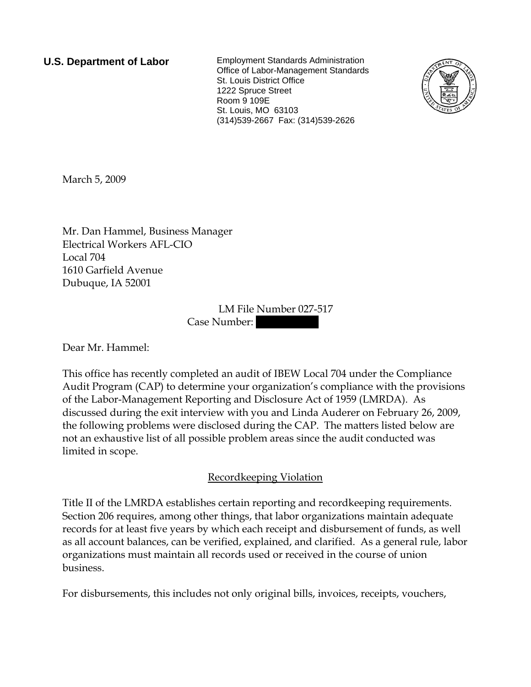**U.S. Department of Labor** Employment Standards Administration Office of Labor-Management Standards St. Louis District Office 1222 Spruce Street Room 9 109E St. Louis, MO 63103 (314)539-2667 Fax: (314)539-2626



March 5, 2009

Mr. Dan Hammel, Business Manager Electrical Workers AFL-CIO Local 704 1610 Garfield Avenue Dubuque, IA 52001

> LM File Number 027-517 Case Number:

Dear Mr. Hammel:

This office has recently completed an audit of IBEW Local 704 under the Compliance Audit Program (CAP) to determine your organization's compliance with the provisions of the Labor-Management Reporting and Disclosure Act of 1959 (LMRDA). As discussed during the exit interview with you and Linda Auderer on February 26, 2009, the following problems were disclosed during the CAP. The matters listed below are not an exhaustive list of all possible problem areas since the audit conducted was limited in scope.

## Recordkeeping Violation

Title II of the LMRDA establishes certain reporting and recordkeeping requirements. Section 206 requires, among other things, that labor organizations maintain adequate records for at least five years by which each receipt and disbursement of funds, as well as all account balances, can be verified, explained, and clarified. As a general rule, labor organizations must maintain all records used or received in the course of union business.

For disbursements, this includes not only original bills, invoices, receipts, vouchers,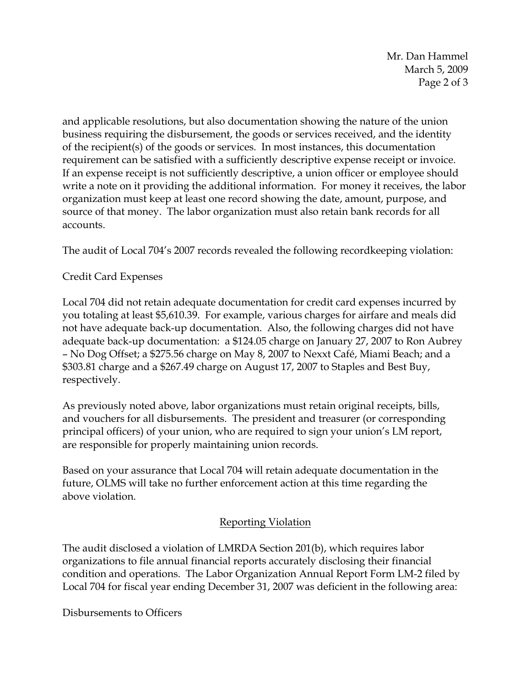Mr. Dan Hammel March 5, 2009 Page 2 of 3

and applicable resolutions, but also documentation showing the nature of the union business requiring the disbursement, the goods or services received, and the identity of the recipient(s) of the goods or services. In most instances, this documentation requirement can be satisfied with a sufficiently descriptive expense receipt or invoice. If an expense receipt is not sufficiently descriptive, a union officer or employee should write a note on it providing the additional information. For money it receives, the labor organization must keep at least one record showing the date, amount, purpose, and source of that money. The labor organization must also retain bank records for all accounts.

The audit of Local 704's 2007 records revealed the following recordkeeping violation:

## Credit Card Expenses

Local 704 did not retain adequate documentation for credit card expenses incurred by you totaling at least \$5,610.39. For example, various charges for airfare and meals did not have adequate back-up documentation. Also, the following charges did not have adequate back-up documentation: a \$124.05 charge on January 27, 2007 to Ron Aubrey – No Dog Offset; a \$275.56 charge on May 8, 2007 to Nexxt Café, Miami Beach; and a \$303.81 charge and a \$267.49 charge on August 17, 2007 to Staples and Best Buy, respectively.

As previously noted above, labor organizations must retain original receipts, bills, and vouchers for all disbursements. The president and treasurer (or corresponding principal officers) of your union, who are required to sign your union's LM report, are responsible for properly maintaining union records.

Based on your assurance that Local 704 will retain adequate documentation in the future, OLMS will take no further enforcement action at this time regarding the above violation.

## Reporting Violation

The audit disclosed a violation of LMRDA Section 201(b), which requires labor organizations to file annual financial reports accurately disclosing their financial condition and operations. The Labor Organization Annual Report Form LM-2 filed by Local 704 for fiscal year ending December 31, 2007 was deficient in the following area:

Disbursements to Officers